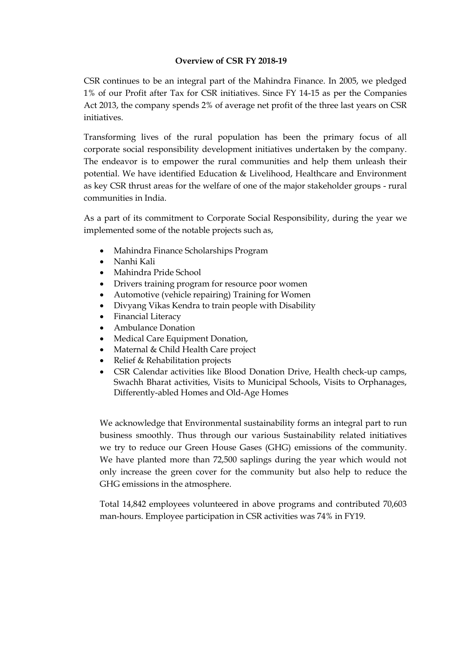## **Overview of CSR FY 2018-19**

CSR continues to be an integral part of the Mahindra Finance. In 2005, we pledged 1% of our Profit after Tax for CSR initiatives. Since FY 14-15 as per the Companies Act 2013, the company spends 2% of average net profit of the three last years on CSR initiatives.

Transforming lives of the rural population has been the primary focus of all corporate social responsibility development initiatives undertaken by the company. The endeavor is to empower the rural communities and help them unleash their potential. We have identified Education & Livelihood, Healthcare and Environment as key CSR thrust areas for the welfare of one of the major stakeholder groups - rural communities in India.

As a part of its commitment to Corporate Social Responsibility, during the year we implemented some of the notable projects such as,

- Mahindra Finance Scholarships Program
- Nanhi Kali
- Mahindra Pride School
- Drivers training program for resource poor women
- Automotive (vehicle repairing) Training for Women
- Divyang Vikas Kendra to train people with Disability
- Financial Literacy
- Ambulance Donation
- Medical Care Equipment Donation,
- Maternal & Child Health Care project
- Relief & Rehabilitation projects
- CSR Calendar activities like Blood Donation Drive, Health check-up camps, Swachh Bharat activities, Visits to Municipal Schools, Visits to Orphanages, Differently-abled Homes and Old-Age Homes

We acknowledge that Environmental sustainability forms an integral part to run business smoothly. Thus through our various Sustainability related initiatives we try to reduce our Green House Gases (GHG) emissions of the community. We have planted more than 72,500 saplings during the year which would not only increase the green cover for the community but also help to reduce the GHG emissions in the atmosphere.

Total 14,842 employees volunteered in above programs and contributed 70,603 man-hours. Employee participation in CSR activities was 74% in FY19.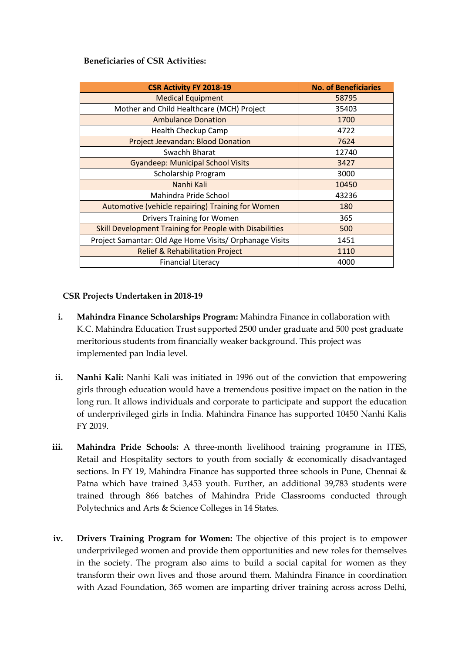## **Beneficiaries of CSR Activities:**

| <b>CSR Activity FY 2018-19</b>                          | <b>No. of Beneficiaries</b> |
|---------------------------------------------------------|-----------------------------|
| <b>Medical Equipment</b>                                | 58795                       |
| Mother and Child Healthcare (MCH) Project               | 35403                       |
| <b>Ambulance Donation</b>                               | 1700                        |
| Health Checkup Camp                                     | 4722                        |
| <b>Project Jeevandan: Blood Donation</b>                | 7624                        |
| Swachh Bharat                                           | 12740                       |
| <b>Gyandeep: Municipal School Visits</b>                | 3427                        |
| Scholarship Program                                     | 3000                        |
| Nanhi Kali                                              | 10450                       |
| Mahindra Pride School                                   | 43236                       |
| Automotive (vehicle repairing) Training for Women       | 180                         |
| <b>Drivers Training for Women</b>                       | 365                         |
| Skill Development Training for People with Disabilities | 500                         |
| Project Samantar: Old Age Home Visits/ Orphanage Visits | 1451                        |
| <b>Relief &amp; Rehabilitation Project</b>              | 1110                        |
| <b>Financial Literacy</b>                               | 4000                        |

## **CSR Projects Undertaken in 2018-19**

- **i. Mahindra Finance Scholarships Program:** Mahindra Finance in collaboration with K.C. Mahindra Education Trust supported 2500 under graduate and 500 post graduate meritorious students from financially weaker background. This project was implemented pan India level.
- **ii. Nanhi Kali:** Nanhi Kali was initiated in 1996 out of the conviction that empowering girls through education would have a tremendous positive impact on the nation in the long run. It allows individuals and corporate to participate and support the education of underprivileged girls in India. Mahindra Finance has supported 10450 Nanhi Kalis FY 2019.
- **iii. Mahindra Pride Schools:** A three-month livelihood training programme in ITES,<br>Retail and Hospitality sectors to youth from socially & economically disadvantaged sections. In FY 19, Mahindra Finance has supported three schools in Pune, Chennai & Patna which have trained 3,453 youth. Further, an additional 39,783 students were trained through 866 batches of Mahindra Pride Classrooms conducted through Polytechnics and Arts & Science Colleges in 14 States.
- **iv. Drivers Training Program for Women:** The objective of this project is to empower underprivileged women and provide them opportunities and new roles for themselves in the society. The program also aims to build a social capital for women as they transform their own lives and those around them. Mahindra Finance in coordination with Azad Foundation, 365 women are imparting driver training across across Delhi,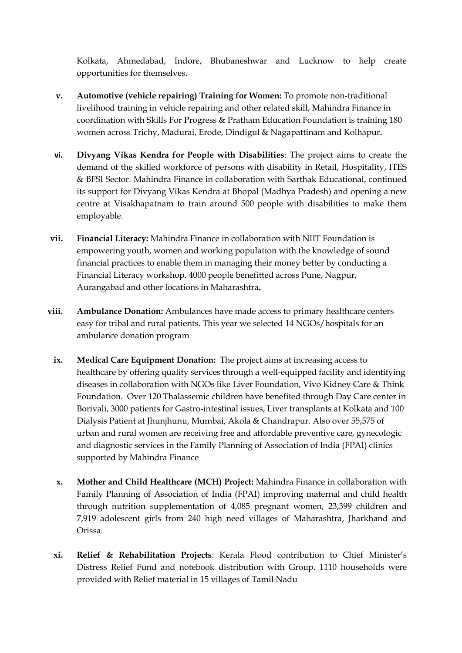Kolkata, Ahmedabad, Indore, Bhubaneshwar and Lucknow to help create opportunities for themselves.

- **v. Automotive (vehicle repairing) Training for Women:** To promote non-traditional livelihood training in vehicle repairing and other related skill, Mahindra Finance in coordination with Skills For Progress & Pratham Education Foundation is training 180 women across Trichy, Madurai, Erode, Dindigul & Nagapattinam and Kolhapur.
- **vi. Divyang Vikas Kendra for People with Disabilities**: The project aims to create the demand of the skilled workforce of persons with disability in Retail, Hospitality, ITES & BFSI Sector. Mahindra Finance in collaboration with Sarthak Educational, continued its support for Divyang Vikas Kendra at Bhopal (Madhya Pradesh) and opening a new centre at Visakhapatnam to train around 500 people with disabilities to make them employable.
- **vii. Financial Literacy:** Mahindra Finance in collaboration with NIIT Foundation is empowering youth, women and working population with the knowledge of sound financial practices to enable them in managing their money better by conducting a Financial Literacy workshop. 4000 people benefitted across Pune, Nagpur, Aurangabad and other locations in Maharashtra**.**
- **viii. Ambulance Donation:** Ambulances have made access to primary healthcare centers easy for tribal and rural patients. This year we selected 14 NGOs/hospitals for an ambulance donation program
	- **ix. Medical Care Equipment Donation:** The project aims at increasing access to healthcare by offering quality services through a well-equipped facility and identifying diseases in collaboration with NGOs like Liver Foundation, Vivo Kidney Care & Think Foundation. Over 120 Thalassemic children have benefited through Day Care center in Borivali, 3000 patients for Gastro-intestinal issues, Liver transplants at Kolkata and 100 Dialysis Patient at Jhunjhunu, Mumbai, Akola & Chandrapur. Also over 55,575 of urban and rural women are receiving free and affordable preventive care, gynecologic and diagnostic services in the Family Planning of Association of India (FPAI) clinics supported by Mahindra Finance
	- **x. Mother and Child Healthcare (MCH) Project:** Mahindra Finance in collaboration with Family Planning of Association of India (FPAI) improving maternal and child health through nutrition supplementation of 4,085 pregnant women, 23,399 children and 7,919 adolescent girls from 240 high need villages of Maharashtra, Jharkhand and Orissa.
	- **xi. Relief & Rehabilitation Projects**: Kerala Flood contribution to Chief Minister's Distress Relief Fund and notebook distribution with Group. 1110 households were provided with Relief material in 15 villages of Tamil Nadu